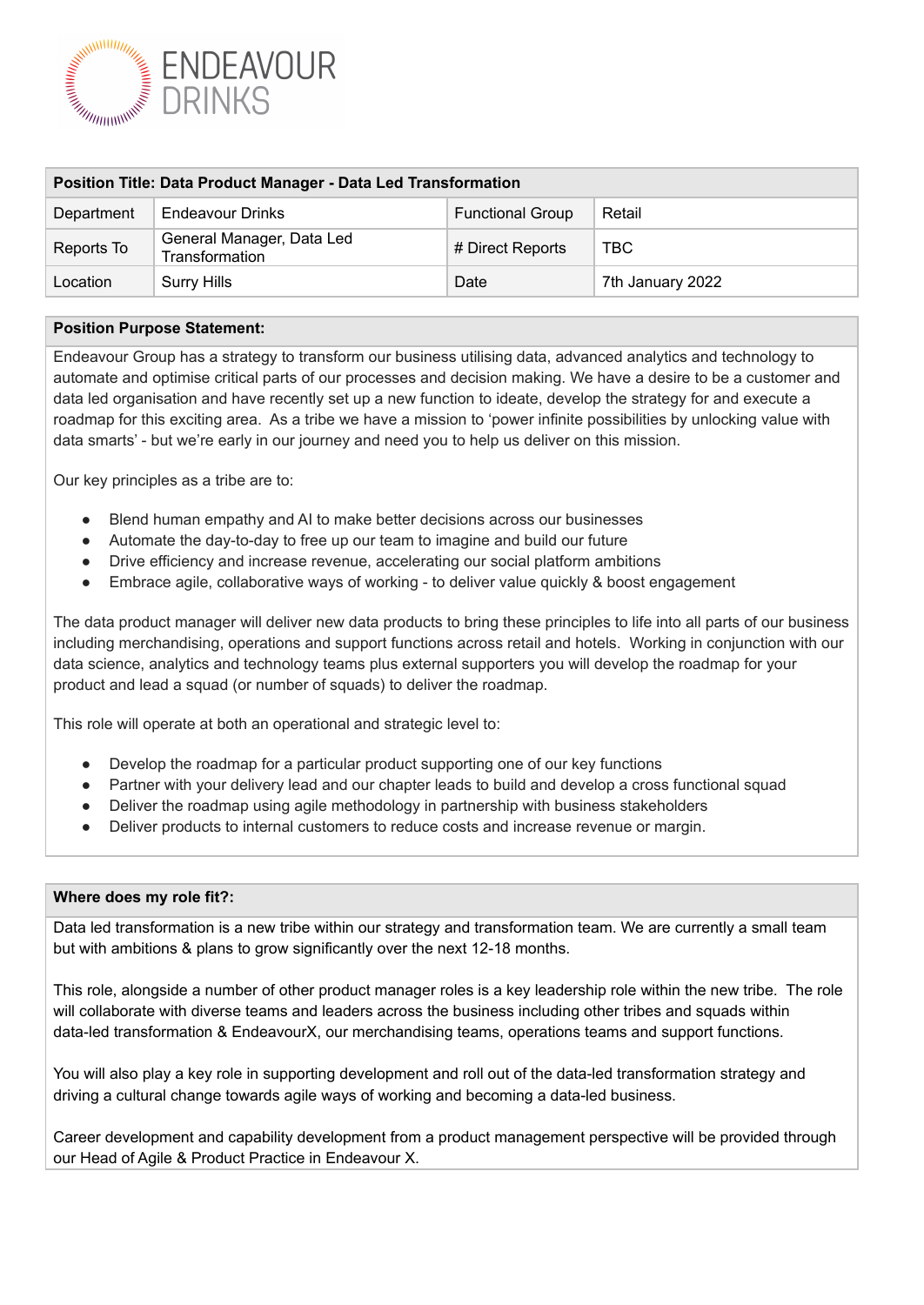

| <b>Position Title: Data Product Manager - Data Led Transformation</b> |                                             |                         |                  |
|-----------------------------------------------------------------------|---------------------------------------------|-------------------------|------------------|
| Department                                                            | <b>Endeavour Drinks</b>                     | <b>Functional Group</b> | Retail           |
| Reports To                                                            | General Manager, Data Led<br>Transformation | # Direct Reports        | <b>TBC</b>       |
| Location                                                              | <b>Surry Hills</b>                          | Date                    | 7th January 2022 |

### **Position Purpose Statement:**

Endeavour Group has a strategy to transform our business utilising data, advanced analytics and technology to automate and optimise critical parts of our processes and decision making. We have a desire to be a customer and data led organisation and have recently set up a new function to ideate, develop the strategy for and execute a roadmap for this exciting area. As a tribe we have a mission to 'power infinite possibilities by unlocking value with data smarts' - but we're early in our journey and need you to help us deliver on this mission.

Our key principles as a tribe are to:

- Blend human empathy and AI to make better decisions across our businesses
- Automate the day-to-day to free up our team to imagine and build our future
- Drive efficiency and increase revenue, accelerating our social platform ambitions
- Embrace agile, collaborative ways of working to deliver value quickly & boost engagement

The data product manager will deliver new data products to bring these principles to life into all parts of our business including merchandising, operations and support functions across retail and hotels. Working in conjunction with our data science, analytics and technology teams plus external supporters you will develop the roadmap for your product and lead a squad (or number of squads) to deliver the roadmap.

This role will operate at both an operational and strategic level to:

- Develop the roadmap for a particular product supporting one of our key functions
- Partner with your delivery lead and our chapter leads to build and develop a cross functional squad
- Deliver the roadmap using agile methodology in partnership with business stakeholders
- Deliver products to internal customers to reduce costs and increase revenue or margin.

### **Where does my role fit?:**

Data led transformation is a new tribe within our strategy and transformation team. We are currently a small team but with ambitions & plans to grow significantly over the next 12-18 months.

This role, alongside a number of other product manager roles is a key leadership role within the new tribe. The role will collaborate with diverse teams and leaders across the business including other tribes and squads within data-led transformation & EndeavourX, our merchandising teams, operations teams and support functions.

You will also play a key role in supporting development and roll out of the data-led transformation strategy and driving a cultural change towards agile ways of working and becoming a data-led business.

Career development and capability development from a product management perspective will be provided through our Head of Agile & Product Practice in Endeavour X.